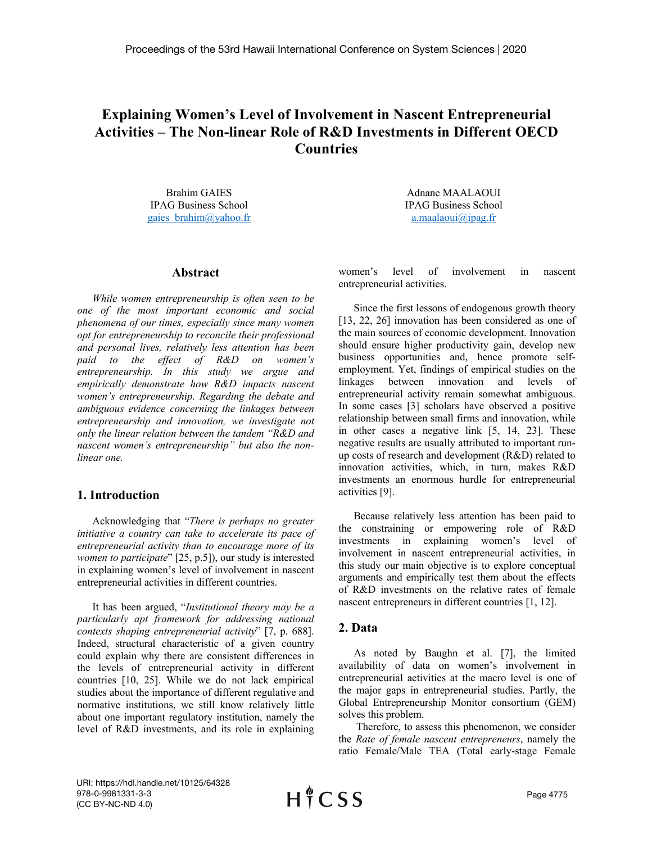# **Explaining Women's Level of Involvement in Nascent Entrepreneurial Activities – The Non-linear Role of R&D Investments in Different OECD Countries**

Brahim GAIES IPAG Business School gaies\_brahim@yahoo.fr

#### **Abstract**

*While women entrepreneurship is often seen to be one of the most important economic and social phenomena of our times, especially since many women opt for entrepreneurship to reconcile their professional and personal lives, relatively less attention has been paid to the effect of R&D on women's entrepreneurship. In this study we argue and empirically demonstrate how R&D impacts nascent women's entrepreneurship. Regarding the debate and ambiguous evidence concerning the linkages between entrepreneurship and innovation, we investigate not only the linear relation between the tandem "R&D and nascent women's entrepreneurship" but also the nonlinear one.*

## **1. Introduction**

Acknowledging that "*There is perhaps no greater initiative a country can take to accelerate its pace of entrepreneurial activity than to encourage more of its women to participate*" [25, p.5]), our study is interested in explaining women's level of involvement in nascent entrepreneurial activities in different countries.

It has been argued, "*Institutional theory may be a particularly apt framework for addressing national contexts shaping entrepreneurial activity*" [7, p. 688]. Indeed, structural characteristic of a given country could explain why there are consistent differences in the levels of entrepreneurial activity in different countries [10, 25]. While we do not lack empirical studies about the importance of different regulative and normative institutions, we still know relatively little about one important regulatory institution, namely the level of R&D investments, and its role in explaining

Adnane MAALAOUI IPAG Business School a.maalaoui $\omega$ ipag.fr

women's level of involvement in nascent entrepreneurial activities.

Since the first lessons of endogenous growth theory [13, 22, 26] innovation has been considered as one of the main sources of economic development. Innovation should ensure higher productivity gain, develop new business opportunities and, hence promote selfemployment. Yet, findings of empirical studies on the linkages between innovation and levels of entrepreneurial activity remain somewhat ambiguous. In some cases [3] scholars have observed a positive relationship between small firms and innovation, while in other cases a negative link [5, 14, 23]. These negative results are usually attributed to important runup costs of research and development (R&D) related to innovation activities, which, in turn, makes R&D investments an enormous hurdle for entrepreneurial activities [9].

Because relatively less attention has been paid to the constraining or empowering role of R&D investments in explaining women's level of involvement in nascent entrepreneurial activities, in this study our main objective is to explore conceptual arguments and empirically test them about the effects of R&D investments on the relative rates of female nascent entrepreneurs in different countries [1, 12].

## **2. Data**

As noted by Baughn et al. [7], the limited availability of data on women's involvement in entrepreneurial activities at the macro level is one of the major gaps in entrepreneurial studies. Partly, the Global Entrepreneurship Monitor consortium (GEM) solves this problem.

Therefore, to assess this phenomenon, we consider the *Rate of female nascent entrepreneurs*, namely the ratio Female/Male TEA (Total early-stage Female

URI: https://hdl.handle.net/10125/64328 978-0-9981331-3-3 (CC BY-NC-ND 4.0)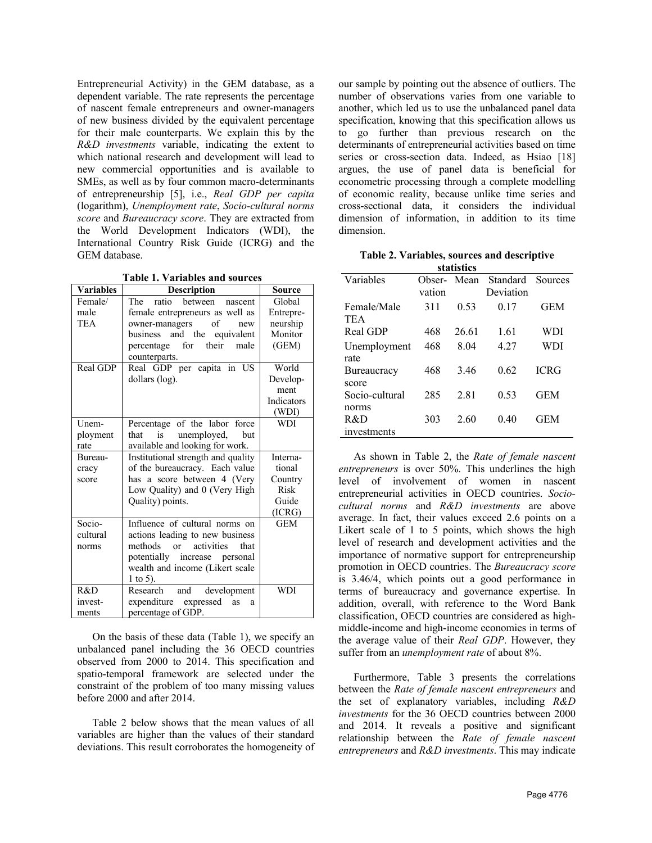Entrepreneurial Activity) in the GEM database, as a dependent variable. The rate represents the percentage of nascent female entrepreneurs and owner-managers of new business divided by the equivalent percentage for their male counterparts. We explain this by the *R&D investments* variable, indicating the extent to which national research and development will lead to new commercial opportunities and is available to SMEs, as well as by four common macro-determinants of entrepreneurship [5], i.e., *Real GDP per capita* (logarithm), *Unemployment rate*, *Socio-cultural norms score* and *Bureaucracy score*. They are extracted from the World Development Indicators (WDI), the International Country Risk Guide (ICRG) and the GEM database.

**Table 1. Variables and sources**

| <b>Variables</b> | <b>Description</b>                  | <b>Source</b> |
|------------------|-------------------------------------|---------------|
| Female/          | ratio<br>between<br>The<br>nascent  | Global        |
| male             | female entrepreneurs as well as     | Entrepre-     |
| TEA              | owner-managers<br>of<br>new         | neurship      |
|                  | business and the equivalent         | Monitor       |
|                  | for<br>their<br>male<br>percentage  | (GEM)         |
|                  | counterparts.                       |               |
| Real GDP         | Real GDP per capita in US           | World         |
|                  | dollars (log).                      | Develop-      |
|                  |                                     | ment          |
|                  |                                     | Indicators    |
|                  |                                     | (WDI)         |
| Unem-            | Percentage of the labor force       | <b>WDI</b>    |
| ployment         | unemployed,<br>that<br>is.<br>but   |               |
| rate             | available and looking for work.     |               |
| Bureau-          | Institutional strength and quality  | Interna-      |
| cracy            | of the bureaucracy. Each value      | tional        |
| score            | has a score between 4 (Very         | Country       |
|                  | Low Quality) and 0 (Very High       | Risk          |
|                  | Quality) points.                    | Guide         |
|                  |                                     | (ICRG)        |
| Socio-           | Influence of cultural norms on      | <b>GEM</b>    |
| cultural         | actions leading to new business     |               |
| norms            | methods<br>activities<br>or<br>that |               |
|                  | potentially increase personal       |               |
|                  | wealth and income (Likert scale     |               |
|                  | 1 to 5).                            |               |
| R&D              | development<br>Research<br>and      | <b>WDI</b>    |
| invest-          | expenditure expressed<br>as<br>a    |               |
| ments            | percentage of GDP.                  |               |

On the basis of these data (Table 1), we specify an unbalanced panel including the 36 OECD countries observed from 2000 to 2014. This specification and spatio-temporal framework are selected under the constraint of the problem of too many missing values before 2000 and after 2014.

Table 2 below shows that the mean values of all variables are higher than the values of their standard deviations. This result corroborates the homogeneity of our sample by pointing out the absence of outliers. The number of observations varies from one variable to another, which led us to use the unbalanced panel data specification, knowing that this specification allows us to go further than previous research on the determinants of entrepreneurial activities based on time series or cross-section data. Indeed, as Hsiao [18] argues, the use of panel data is beneficial for econometric processing through a complete modelling of economic reality, because unlike time series and cross-sectional data, it considers the individual dimension of information, in addition to its time dimension.

|  |            | Table 2. Variables, sources and descriptive |
|--|------------|---------------------------------------------|
|  | 6404364388 |                                             |

| маныны         |        |       |           |             |  |  |
|----------------|--------|-------|-----------|-------------|--|--|
| Variables      | Obser- | Mean  | Standard  | Sources     |  |  |
|                | vation |       | Deviation |             |  |  |
| Female/Male    | 311    | 0.53  | 0.17      | <b>GEM</b>  |  |  |
| <b>TEA</b>     |        |       |           |             |  |  |
| Real GDP       | 468    | 26.61 | 1.61      | WDI         |  |  |
| Unemployment   | 468    | 8.04  | 4.27      | <b>WDI</b>  |  |  |
| rate           |        |       |           |             |  |  |
| Bureaucracy    | 468    | 3.46  | 0.62      | <b>ICRG</b> |  |  |
| score          |        |       |           |             |  |  |
| Socio-cultural | 285    | 2.81  | 0.53      | <b>GEM</b>  |  |  |
| norms          |        |       |           |             |  |  |
| R&D            | 303    | 2.60  | 0.40      | GEM         |  |  |
| investments    |        |       |           |             |  |  |

As shown in Table 2, the *Rate of female nascent entrepreneurs* is over 50%. This underlines the high level of involvement of women in nascent entrepreneurial activities in OECD countries. *Sociocultural norms* and *R&D investments* are above average. In fact, their values exceed 2.6 points on a Likert scale of 1 to 5 points, which shows the high level of research and development activities and the importance of normative support for entrepreneurship promotion in OECD countries. The *Bureaucracy score*  is 3.46/4, which points out a good performance in terms of bureaucracy and governance expertise. In addition, overall, with reference to the Word Bank classification, OECD countries are considered as highmiddle-income and high-income economies in terms of the average value of their *Real GDP*. However, they suffer from an *unemployment rate* of about 8%.

Furthermore, Table 3 presents the correlations between the *Rate of female nascent entrepreneurs* and the set of explanatory variables, including *R&D investments* for the 36 OECD countries between 2000 and 2014. It reveals a positive and significant relationship between the *Rate of female nascent entrepreneurs* and *R&D investments*. This may indicate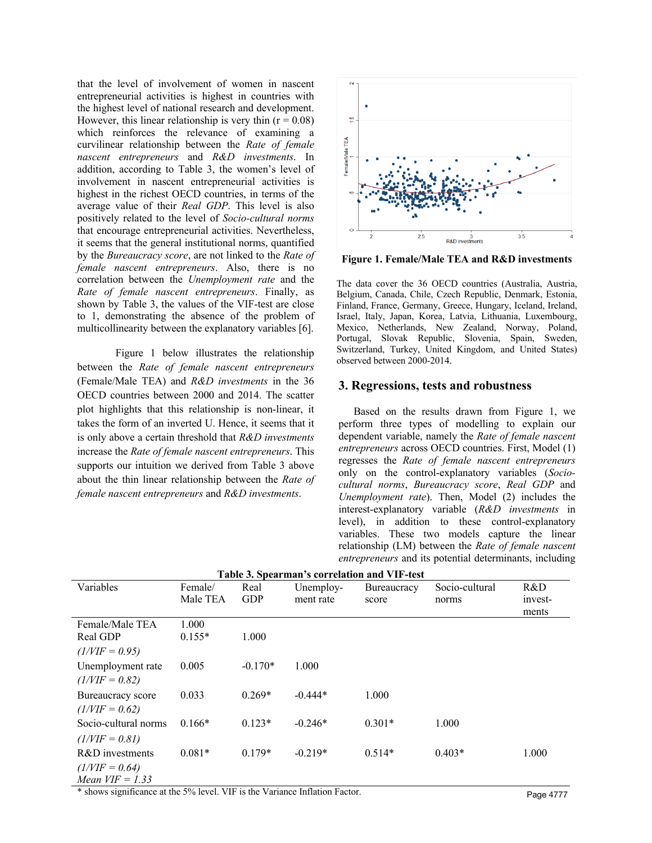that the level of involvement of women in nascent entrepreneurial activities is highest in countries with the highest level of national research and development. However, this linear relationship is very thin  $(r = 0.08)$ which reinforces the relevance of examining a curvilinear relationship between the *Rate of female nascent entrepreneurs* and *R&D investments*. In addition, according to Table 3, the women's level of involvement in nascent entrepreneurial activities is highest in the richest OECD countries, in terms of the average value of their *Real GDP*. This level is also positively related to the level of *Socio-cultural norms*  that encourage entrepreneurial activities. Nevertheless, it seems that the general institutional norms, quantified by the *Bureaucracy score*, are not linked to the *Rate of female nascent entrepreneurs*. Also, there is no correlation between the *Unemployment rate* and the *Rate of female nascent entrepreneurs*. Finally, as shown by Table 3, the values of the VIF-test are close to 1, demonstrating the absence of the problem of multicollinearity between the explanatory variables [6].

Figure 1 below illustrates the relationship between the *Rate of female nascent entrepreneurs*  (Female/Male TEA) and *R&D investments* in the 36 OECD countries between 2000 and 2014. The scatter plot highlights that this relationship is non-linear, it takes the form of an inverted U. Hence, it seems that it is only above a certain threshold that *R&D investments* increase the *Rate of female nascent entrepreneurs*. This supports our intuition we derived from Table 3 above about the thin linear relationship between the *Rate of female nascent entrepreneurs* and *R&D investments*.



**Figure 1. Female/Male TEA and R&D investments**

The data cover the 36 OECD countries (Australia, Austria, Belgium, Canada, Chile, Czech Republic, Denmark, Estonia, Finland, France, Germany, Greece, Hungary, Iceland, Ireland, Israel, Italy, Japan, Korea, Latvia, Lithuania, Luxembourg, Mexico, Netherlands, New Zealand, Norway, Poland, Portugal, Slovak Republic, Slovenia, Spain, Sweden, Switzerland, Turkey, United Kingdom, and United States) observed between 2000-2014.

#### **3. Regressions, tests and robustness**

Based on the results drawn from Figure 1, we perform three types of modelling to explain our dependent variable, namely the *Rate of female nascent entrepreneurs* across OECD countries. First, Model (1) regresses the *Rate of female nascent entrepreneurs*  only on the control-explanatory variables (*Sociocultural norms*, *Bureaucracy score*, *Real GDP* and *Unemployment rate*). Then, Model (2) includes the interest-explanatory variable (*R&D investments* in level), in addition to these control-explanatory variables. These two models capture the linear relationship (LM) between the *Rate of female nascent entrepreneurs* and its potential determinants, including

| Variables            | Female/  | Real       | Unemploy- | Bureaucracy | Socio-cultural | R&D     |
|----------------------|----------|------------|-----------|-------------|----------------|---------|
|                      | Male TEA | <b>GDP</b> | ment rate | score       | norms          | invest- |
|                      |          |            |           |             |                | ments   |
| Female/Male TEA      | 1.000    |            |           |             |                |         |
| Real GDP             | $0.155*$ | 1.000      |           |             |                |         |
| $(1/VIF = 0.95)$     |          |            |           |             |                |         |
| Unemployment rate    | 0.005    | $-0.170*$  | 1.000     |             |                |         |
| $(1/VIF = 0.82)$     |          |            |           |             |                |         |
| Bureaucracy score    | 0.033    | $0.269*$   | $-0.444*$ | 1.000       |                |         |
| $(1/VIF = 0.62)$     |          |            |           |             |                |         |
| Socio-cultural norms | $0.166*$ | $0.123*$   | $-0.246*$ | $0.301*$    | 1.000          |         |
| $(1/VIF = 0.81)$     |          |            |           |             |                |         |
| R&D investments      | $0.081*$ | $0.179*$   | $-0.219*$ | $0.514*$    | $0.403*$       | 1.000   |
| $(1/VIF = 0.64)$     |          |            |           |             |                |         |
| Mean $VIF = 1.33$    |          |            |           |             |                |         |

**Table 3. Spearman's correlation and VIF-test**

\* shows significance at the 5% level. VIF is the Variance Inflation Factor. Page 4777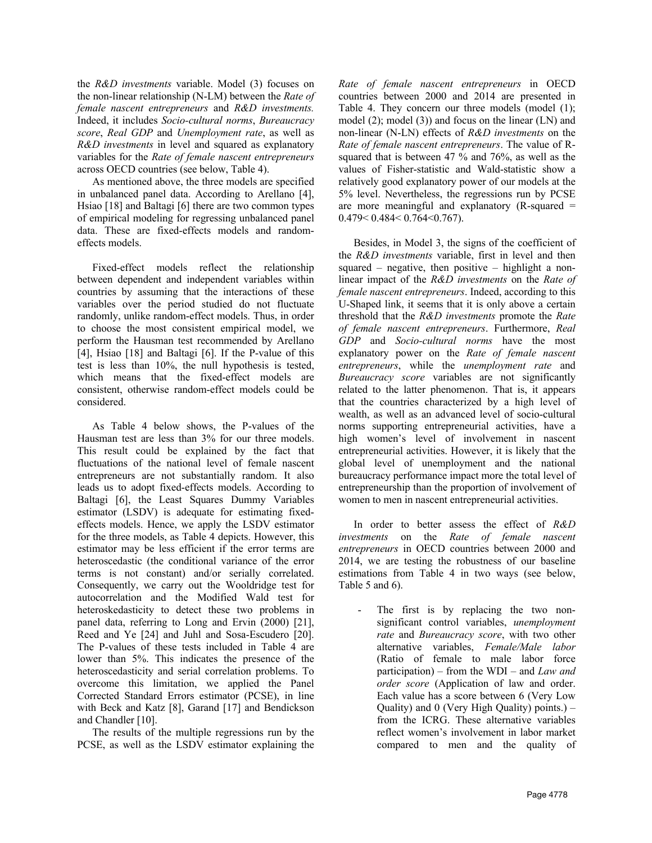the *R&D investments* variable. Model (3) focuses on the non-linear relationship (N-LM) between the *Rate of female nascent entrepreneurs* and *R&D investments.*  Indeed, it includes *Socio-cultural norms*, *Bureaucracy score*, *Real GDP* and *Unemployment rate*, as well as *R&D investments* in level and squared as explanatory variables for the *Rate of female nascent entrepreneurs* across OECD countries (see below, Table 4).

As mentioned above, the three models are specified in unbalanced panel data. According to Arellano [4], Hsiao [18] and Baltagi [6] there are two common types of empirical modeling for regressing unbalanced panel data. These are fixed-effects models and randomeffects models.

Fixed-effect models reflect the relationship between dependent and independent variables within countries by assuming that the interactions of these variables over the period studied do not fluctuate randomly, unlike random-effect models. Thus, in order to choose the most consistent empirical model, we perform the Hausman test recommended by Arellano [4], Hsiao [18] and Baltagi [6]. If the P-value of this test is less than 10%, the null hypothesis is tested, which means that the fixed-effect models are consistent, otherwise random-effect models could be considered.

As Table 4 below shows, the P-values of the Hausman test are less than 3% for our three models. This result could be explained by the fact that fluctuations of the national level of female nascent entrepreneurs are not substantially random. It also leads us to adopt fixed-effects models. According to Baltagi [6], the Least Squares Dummy Variables estimator (LSDV) is adequate for estimating fixedeffects models. Hence, we apply the LSDV estimator for the three models, as Table 4 depicts. However, this estimator may be less efficient if the error terms are heteroscedastic (the conditional variance of the error terms is not constant) and/or serially correlated. Consequently, we carry out the Wooldridge test for autocorrelation and the Modified Wald test for heteroskedasticity to detect these two problems in panel data, referring to Long and Ervin (2000) [21], Reed and Ye [24] and Juhl and Sosa-Escudero [20]. The P-values of these tests included in Table 4 are lower than 5%. This indicates the presence of the heteroscedasticity and serial correlation problems. To overcome this limitation, we applied the Panel Corrected Standard Errors estimator (PCSE), in line with Beck and Katz [8], Garand [17] and Bendickson and Chandler [10].

The results of the multiple regressions run by the PCSE, as well as the LSDV estimator explaining the *Rate of female nascent entrepreneurs* in OECD countries between 2000 and 2014 are presented in Table 4. They concern our three models (model (1); model (2); model (3)) and focus on the linear (LN) and non-linear (N-LN) effects of *R&D investments* on the *Rate of female nascent entrepreneurs*. The value of Rsquared that is between 47 % and 76%, as well as the values of Fisher-statistic and Wald-statistic show a relatively good explanatory power of our models at the 5% level. Nevertheless, the regressions run by PCSE are more meaningful and explanatory  $(R$ -squared = 0.479< 0.484< 0.764<0.767).

Besides, in Model 3, the signs of the coefficient of the *R&D investments* variable, first in level and then squared – negative, then positive – highlight a nonlinear impact of the *R&D investments* on the *Rate of female nascent entrepreneurs*. Indeed, according to this U-Shaped link, it seems that it is only above a certain threshold that the *R&D investments* promote the *Rate of female nascent entrepreneurs*. Furthermore, *Real GDP* and *Socio-cultural norms* have the most explanatory power on the *Rate of female nascent entrepreneurs*, while the *unemployment rate* and *Bureaucracy score* variables are not significantly related to the latter phenomenon. That is, it appears that the countries characterized by a high level of wealth, as well as an advanced level of socio-cultural norms supporting entrepreneurial activities, have a high women's level of involvement in nascent entrepreneurial activities. However, it is likely that the global level of unemployment and the national bureaucracy performance impact more the total level of entrepreneurship than the proportion of involvement of women to men in nascent entrepreneurial activities.

In order to better assess the effect of *R&D investments* on the *Rate of female nascent entrepreneurs* in OECD countries between 2000 and 2014, we are testing the robustness of our baseline estimations from Table 4 in two ways (see below, Table 5 and 6).

The first is by replacing the two nonsignificant control variables, *unemployment rate* and *Bureaucracy score*, with two other alternative variables, *Female/Male labor* (Ratio of female to male labor force participation) – from the WDI – and *Law and order score* (Application of law and order. Each value has a score between 6 (Very Low Quality) and 0 (Very High Quality) points.) – from the ICRG. These alternative variables reflect women's involvement in labor market compared to men and the quality of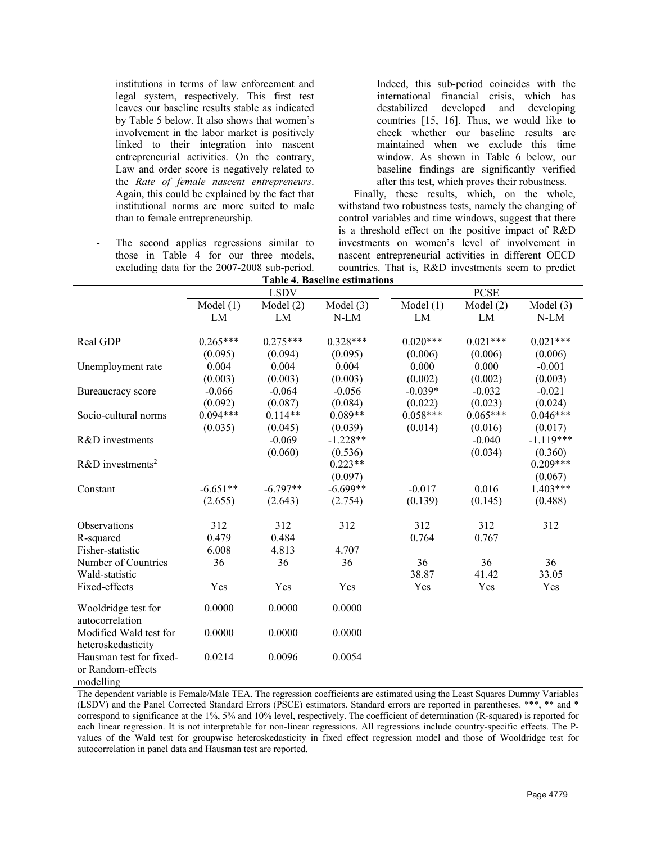institutions in terms of law enforcement and legal system, respectively. This first test leaves our baseline results stable as indicated by Table 5 below. It also shows that women's involvement in the labor market is positively linked to their integration into nascent entrepreneurial activities. On the contrary, Law and order score is negatively related to the *Rate of female nascent entrepreneurs*. Again, this could be explained by the fact that institutional norms are more suited to male than to female entrepreneurship.

The second applies regressions similar to those in Table 4 for our three models, excluding data for the 2007-2008 sub-period.

Indeed, this sub-period coincides with the international financial crisis, which has destabilized developed and developing countries [15, 16]. Thus, we would like to check whether our baseline results are maintained when we exclude this time window. As shown in Table 6 below, our baseline findings are significantly verified after this test, which proves their robustness.

Finally, these results, which, on the whole, withstand two robustness tests, namely the changing of control variables and time windows, suggest that there is a threshold effect on the positive impact of R&D investments on women's level of involvement in nascent entrepreneurial activities in different OECD countries. That is, R&D investments seem to predict **Table 4. Baseline estimations**

|                                                           | і апіс 4. Daschiic csuinauviis |             |             |             |             |             |  |  |
|-----------------------------------------------------------|--------------------------------|-------------|-------------|-------------|-------------|-------------|--|--|
|                                                           | <b>LSDV</b>                    |             |             |             | <b>PCSE</b> |             |  |  |
|                                                           | Model $(1)$                    | Model $(2)$ | Model $(3)$ | Model $(1)$ | Model $(2)$ | Model $(3)$ |  |  |
|                                                           | LM                             | LM          | N-LM        | LM          | LM          | $N-LM$      |  |  |
| Real GDP                                                  | $0.265***$                     | $0.275***$  | $0.328***$  | $0.020***$  | $0.021***$  | $0.021***$  |  |  |
|                                                           | (0.095)                        | (0.094)     | (0.095)     | (0.006)     | (0.006)     | (0.006)     |  |  |
| Unemployment rate                                         | 0.004                          | 0.004       | 0.004       | 0.000       | 0.000       | $-0.001$    |  |  |
|                                                           | (0.003)                        | (0.003)     | (0.003)     | (0.002)     | (0.002)     | (0.003)     |  |  |
| Bureaucracy score                                         | $-0.066$                       | $-0.064$    | $-0.056$    | $-0.039*$   | $-0.032$    | $-0.021$    |  |  |
|                                                           | (0.092)                        | (0.087)     | (0.084)     | (0.022)     | (0.023)     | (0.024)     |  |  |
| Socio-cultural norms                                      | $0.094***$                     | $0.114**$   | $0.089**$   | $0.058***$  | $0.065***$  | $0.046***$  |  |  |
|                                                           | (0.035)                        | (0.045)     | (0.039)     | (0.014)     | (0.016)     | (0.017)     |  |  |
| R&D investments                                           |                                | $-0.069$    | $-1.228**$  |             | $-0.040$    | $-1.119***$ |  |  |
|                                                           |                                | (0.060)     | (0.536)     |             | (0.034)     | (0.360)     |  |  |
| $R&D$ investments <sup>2</sup>                            |                                |             | $0.223**$   |             |             | $0.209***$  |  |  |
|                                                           |                                |             | (0.097)     |             |             | (0.067)     |  |  |
| Constant                                                  | $-6.651**$                     | $-6.797**$  | $-6.699**$  | $-0.017$    | 0.016       | $1.403***$  |  |  |
|                                                           | (2.655)                        | (2.643)     | (2.754)     | (0.139)     | (0.145)     | (0.488)     |  |  |
| Observations                                              | 312                            | 312         | 312         | 312         | 312         | 312         |  |  |
| R-squared                                                 | 0.479                          | 0.484       |             | 0.764       | 0.767       |             |  |  |
| Fisher-statistic                                          | 6.008                          | 4.813       | 4.707       |             |             |             |  |  |
| Number of Countries                                       | 36                             | 36          | 36          | 36          | 36          | 36          |  |  |
| Wald-statistic                                            |                                |             |             | 38.87       | 41.42       | 33.05       |  |  |
| Fixed-effects                                             | Yes                            | Yes         | Yes         | Yes         | Yes         | Yes         |  |  |
| Wooldridge test for<br>autocorrelation                    | 0.0000                         | 0.0000      | 0.0000      |             |             |             |  |  |
| Modified Wald test for<br>heteroskedasticity              | 0.0000                         | 0.0000      | 0.0000      |             |             |             |  |  |
| Hausman test for fixed-<br>or Random-effects<br>modelling | 0.0214                         | 0.0096      | 0.0054      |             |             |             |  |  |

The dependent variable is Female/Male TEA. The regression coefficients are estimated using the Least Squares Dummy Variables (LSDV) and the Panel Corrected Standard Errors (PSCE) estimators. Standard errors are reported in parentheses. \*\*\*, \*\* and \* correspond to significance at the 1%, 5% and 10% level, respectively. The coefficient of determination (R-squared) is reported for each linear regression. It is not interpretable for non-linear regressions. All regressions include country-specific effects. The Pvalues of the Wald test for groupwise heteroskedasticity in fixed effect regression model and those of Wooldridge test for autocorrelation in panel data and Hausman test are reported.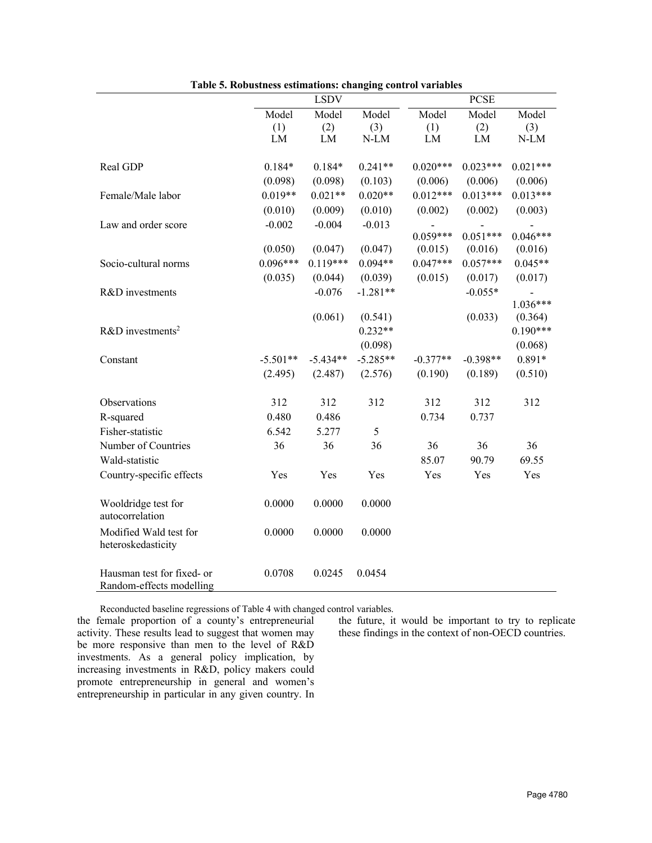|                                                        | <b>LSDV</b> |            |            | <b>PCSE</b> |            |            |
|--------------------------------------------------------|-------------|------------|------------|-------------|------------|------------|
|                                                        | Model       | Model      | Model      | Model       | Model      | Model      |
|                                                        | (1)         | (2)        | (3)        | (1)         | (2)        | (3)        |
|                                                        | LM          | LM         | N-LM       | LM          | LM         | N-LM       |
| Real GDP                                               | $0.184*$    | $0.184*$   | $0.241**$  | $0.020***$  | $0.023***$ | $0.021***$ |
|                                                        | (0.098)     | (0.098)    | (0.103)    | (0.006)     | (0.006)    | (0.006)    |
| Female/Male labor                                      | $0.019**$   | $0.021**$  | $0.020**$  | $0.012***$  | $0.013***$ | $0.013***$ |
|                                                        | (0.010)     | (0.009)    | (0.010)    | (0.002)     | (0.002)    | (0.003)    |
| Law and order score                                    | $-0.002$    | $-0.004$   | $-0.013$   |             |            |            |
|                                                        |             |            |            | $0.059***$  | $0.051***$ | $0.046***$ |
|                                                        | (0.050)     | (0.047)    | (0.047)    | (0.015)     | (0.016)    | (0.016)    |
| Socio-cultural norms                                   | $0.096***$  | $0.119***$ | $0.094**$  | $0.047***$  | $0.057***$ | $0.045**$  |
|                                                        | (0.035)     | (0.044)    | (0.039)    | (0.015)     | (0.017)    | (0.017)    |
| R&D investments                                        |             | $-0.076$   | $-1.281**$ |             | $-0.055*$  |            |
|                                                        |             |            |            |             |            | $1.036***$ |
|                                                        |             | (0.061)    | (0.541)    |             | (0.033)    | (0.364)    |
| $R&D$ investments <sup>2</sup>                         |             |            | $0.232**$  |             |            | $0.190***$ |
|                                                        |             |            | (0.098)    |             |            | (0.068)    |
| Constant                                               | $-5.501**$  | $-5.434**$ | $-5.285**$ | $-0.377**$  | $-0.398**$ | $0.891*$   |
|                                                        | (2.495)     | (2.487)    | (2.576)    | (0.190)     | (0.189)    | (0.510)    |
| Observations                                           | 312         | 312        | 312        | 312         | 312        | 312        |
| R-squared                                              | 0.480       | 0.486      |            | 0.734       | 0.737      |            |
| Fisher-statistic                                       | 6.542       | 5.277      | 5          |             |            |            |
| Number of Countries                                    | 36          | 36         | 36         | 36          | 36         | 36         |
| Wald-statistic                                         |             |            |            | 85.07       | 90.79      | 69.55      |
| Country-specific effects                               | Yes         | Yes        | Yes        | Yes         | Yes        | Yes        |
| Wooldridge test for<br>autocorrelation                 | 0.0000      | 0.0000     | 0.0000     |             |            |            |
| Modified Wald test for<br>heteroskedasticity           | 0.0000      | 0.0000     | 0.0000     |             |            |            |
| Hausman test for fixed- or<br>Random-effects modelling | 0.0708      | 0.0245     | 0.0454     |             |            |            |

**Table 5. Robustness estimations: changing control variables**

Reconducted baseline regressions of Table 4 with changed control variables.

the female proportion of a county's entrepreneurial activity. These results lead to suggest that women may be more responsive than men to the level of R&D investments. As a general policy implication, by increasing investments in R&D, policy makers could promote entrepreneurship in general and women's entrepreneurship in particular in any given country. In

the future, it would be important to try to replicate these findings in the context of non-OECD countries.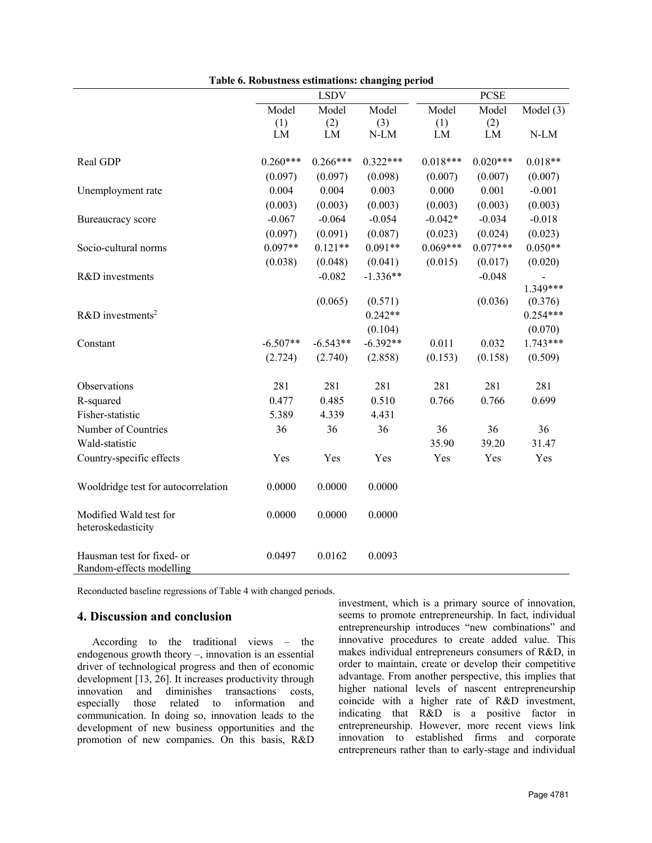|                                                        |            | <b>LSDV</b> |            |            | <b>PCSE</b> |             |
|--------------------------------------------------------|------------|-------------|------------|------------|-------------|-------------|
|                                                        | Model      | Model       | Model      | Model      | Model       | Model $(3)$ |
|                                                        | (1)        | (2)         | (3)        | (1)        | (2)         |             |
|                                                        | ${\rm LM}$ | ${\rm LM}$  | $N-LM$     | LM         | ${\rm LM}$  | $N-LM$      |
| Real GDP                                               | $0.260***$ | $0.266***$  | $0.322***$ | $0.018***$ | $0.020***$  | $0.018**$   |
|                                                        | (0.097)    | (0.097)     | (0.098)    | (0.007)    | (0.007)     | (0.007)     |
| Unemployment rate                                      | 0.004      | 0.004       | 0.003      | 0.000      | 0.001       | $-0.001$    |
|                                                        | (0.003)    | (0.003)     | (0.003)    | (0.003)    | (0.003)     | (0.003)     |
| Bureaucracy score                                      | $-0.067$   | $-0.064$    | $-0.054$   | $-0.042*$  | $-0.034$    | $-0.018$    |
|                                                        | (0.097)    | (0.091)     | (0.087)    | (0.023)    | (0.024)     | (0.023)     |
| Socio-cultural norms                                   | $0.097**$  | $0.121**$   | $0.091**$  | $0.069***$ | $0.077***$  | $0.050**$   |
|                                                        | (0.038)    | (0.048)     | (0.041)    | (0.015)    | (0.017)     | (0.020)     |
| R&D investments                                        |            | $-0.082$    | $-1.336**$ |            | $-0.048$    |             |
|                                                        |            |             |            |            |             | 1.349***    |
|                                                        |            | (0.065)     | (0.571)    |            | (0.036)     | (0.376)     |
| $R&D$ investments <sup>2</sup>                         |            |             | $0.242**$  |            |             | $0.254***$  |
|                                                        |            |             | (0.104)    |            |             | (0.070)     |
| Constant                                               | $-6.507**$ | $-6.543**$  | $-6.392**$ | 0.011      | 0.032       | 1.743***    |
|                                                        | (2.724)    | (2.740)     | (2.858)    | (0.153)    | (0.158)     | (0.509)     |
| Observations                                           | 281        | 281         | 281        | 281        | 281         | 281         |
| R-squared                                              | 0.477      | 0.485       | 0.510      | 0.766      | 0.766       | 0.699       |
| Fisher-statistic                                       | 5.389      | 4.339       | 4.431      |            |             |             |
| Number of Countries                                    | 36         | 36          | 36         | 36         | 36          | 36          |
| Wald-statistic                                         |            |             |            | 35.90      | 39.20       | 31.47       |
| Country-specific effects                               | Yes        | Yes         | Yes        | Yes        | Yes         | Yes         |
| Wooldridge test for autocorrelation                    | 0.0000     | 0.0000      | 0.0000     |            |             |             |
| Modified Wald test for<br>heteroskedasticity           | 0.0000     | 0.0000      | 0.0000     |            |             |             |
| Hausman test for fixed- or<br>Random-effects modelling | 0.0497     | 0.0162      | 0.0093     |            |             |             |

|  | Table 6. Robustness estimations: changing period |  |
|--|--------------------------------------------------|--|
|  |                                                  |  |

Reconducted baseline regressions of Table 4 with changed periods.

### **4. Discussion and conclusion**

According to the traditional views – the endogenous growth theory –, innovation is an essential driver of technological progress and then of economic development [13, 26]. It increases productivity through innovation and diminishes transactions costs, especially those related to information and communication. In doing so, innovation leads to the development of new business opportunities and the promotion of new companies. On this basis, R&D investment, which is a primary source of innovation, seems to promote entrepreneurship. In fact, individual entrepreneurship introduces "new combinations" and innovative procedures to create added value. This makes individual entrepreneurs consumers of R&D, in order to maintain, create or develop their competitive advantage. From another perspective, this implies that higher national levels of nascent entrepreneurship coincide with a higher rate of R&D investment, indicating that R&D is a positive factor in entrepreneurship. However, more recent views link innovation to established firms and corporate entrepreneurs rather than to early-stage and individual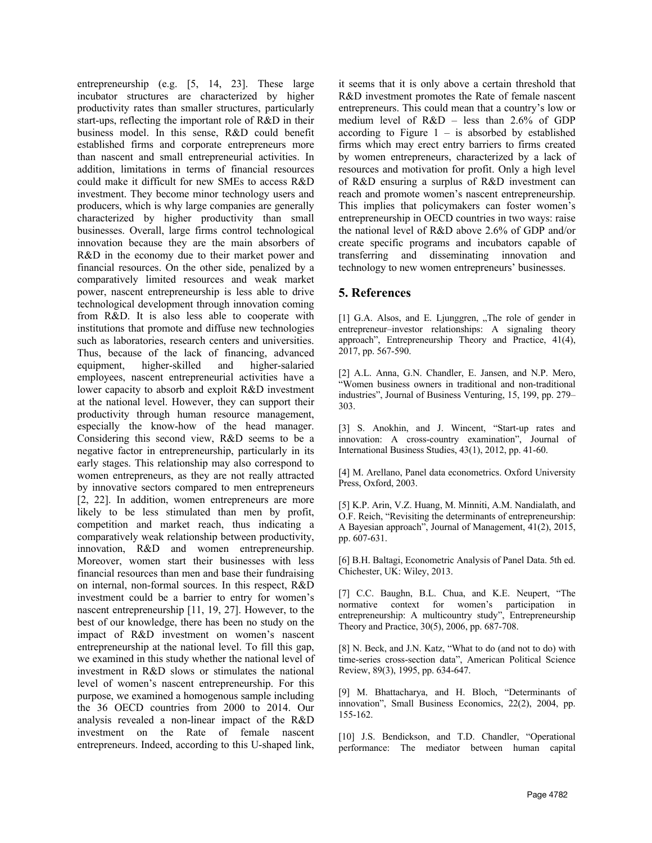entrepreneurship (e.g. [5, 14, 23]. These large incubator structures are characterized by higher productivity rates than smaller structures, particularly start-ups, reflecting the important role of R&D in their business model. In this sense, R&D could benefit established firms and corporate entrepreneurs more than nascent and small entrepreneurial activities. In addition, limitations in terms of financial resources could make it difficult for new SMEs to access R&D investment. They become minor technology users and producers, which is why large companies are generally characterized by higher productivity than small businesses. Overall, large firms control technological innovation because they are the main absorbers of R&D in the economy due to their market power and financial resources. On the other side, penalized by a comparatively limited resources and weak market power, nascent entrepreneurship is less able to drive technological development through innovation coming from R&D. It is also less able to cooperate with institutions that promote and diffuse new technologies such as laboratories, research centers and universities. Thus, because of the lack of financing, advanced equipment, higher-skilled and higher-salaried employees, nascent entrepreneurial activities have a lower capacity to absorb and exploit R&D investment at the national level. However, they can support their productivity through human resource management, especially the know-how of the head manager. Considering this second view, R&D seems to be a negative factor in entrepreneurship, particularly in its early stages. This relationship may also correspond to women entrepreneurs, as they are not really attracted by innovative sectors compared to men entrepreneurs [2, 22]. In addition, women entrepreneurs are more likely to be less stimulated than men by profit, competition and market reach, thus indicating a comparatively weak relationship between productivity, innovation, R&D and women entrepreneurship. Moreover, women start their businesses with less financial resources than men and base their fundraising on internal, non-formal sources. In this respect, R&D investment could be a barrier to entry for women's nascent entrepreneurship [11, 19, 27]. However, to the best of our knowledge, there has been no study on the impact of R&D investment on women's nascent entrepreneurship at the national level. To fill this gap, we examined in this study whether the national level of investment in R&D slows or stimulates the national level of women's nascent entrepreneurship. For this purpose, we examined a homogenous sample including the 36 OECD countries from 2000 to 2014. Our analysis revealed a non-linear impact of the R&D investment on the Rate of female nascent entrepreneurs. Indeed, according to this U-shaped link, it seems that it is only above a certain threshold that R&D investment promotes the Rate of female nascent entrepreneurs. This could mean that a country's low or medium level of R&D – less than 2.6% of GDP according to Figure  $1 -$  is absorbed by established firms which may erect entry barriers to firms created by women entrepreneurs, characterized by a lack of resources and motivation for profit. Only a high level of R&D ensuring a surplus of R&D investment can reach and promote women's nascent entrepreneurship. This implies that policymakers can foster women's entrepreneurship in OECD countries in two ways: raise the national level of R&D above 2.6% of GDP and/or create specific programs and incubators capable of transferring and disseminating innovation and technology to new women entrepreneurs' businesses.

## **5. References**

[1] G.A. Alsos, and E. Ljunggren, "The role of gender in entrepreneur–investor relationships: A signaling theory approach", Entrepreneurship Theory and Practice, 41(4), 2017, pp. 567-590.

[2] A.L. Anna, G.N. Chandler, E. Jansen, and N.P. Mero, "Women business owners in traditional and non-traditional industries", Journal of Business Venturing, 15, 199, pp. 279– 303.

[3] S. Anokhin, and J. Wincent, "Start-up rates and innovation: A cross-country examination", Journal of International Business Studies, 43(1), 2012, pp. 41-60.

[4] M. Arellano, Panel data econometrics. Oxford University Press, Oxford, 2003.

[5] K.P. Arin, V.Z. Huang, M. Minniti, A.M. Nandialath, and O.F. Reich, "Revisiting the determinants of entrepreneurship: A Bayesian approach", Journal of Management, 41(2), 2015, pp. 607-631.

[6] B.H. Baltagi, Econometric Analysis of Panel Data. 5th ed. Chichester, UK: Wiley, 2013.

[7] C.C. Baughn, B.L. Chua, and K.E. Neupert. "The normative context for women's participation in entrepreneurship: A multicountry study", Entrepreneurship Theory and Practice, 30(5), 2006, pp. 687-708.

[8] N. Beck, and J.N. Katz, "What to do (and not to do) with time-series cross-section data", American Political Science Review, 89(3), 1995, pp. 634-647.

[9] M. Bhattacharya, and H. Bloch, "Determinants of innovation", Small Business Economics, 22(2), 2004, pp. 155-162.

[10] J.S. Bendickson, and T.D. Chandler, "Operational performance: The mediator between human capital